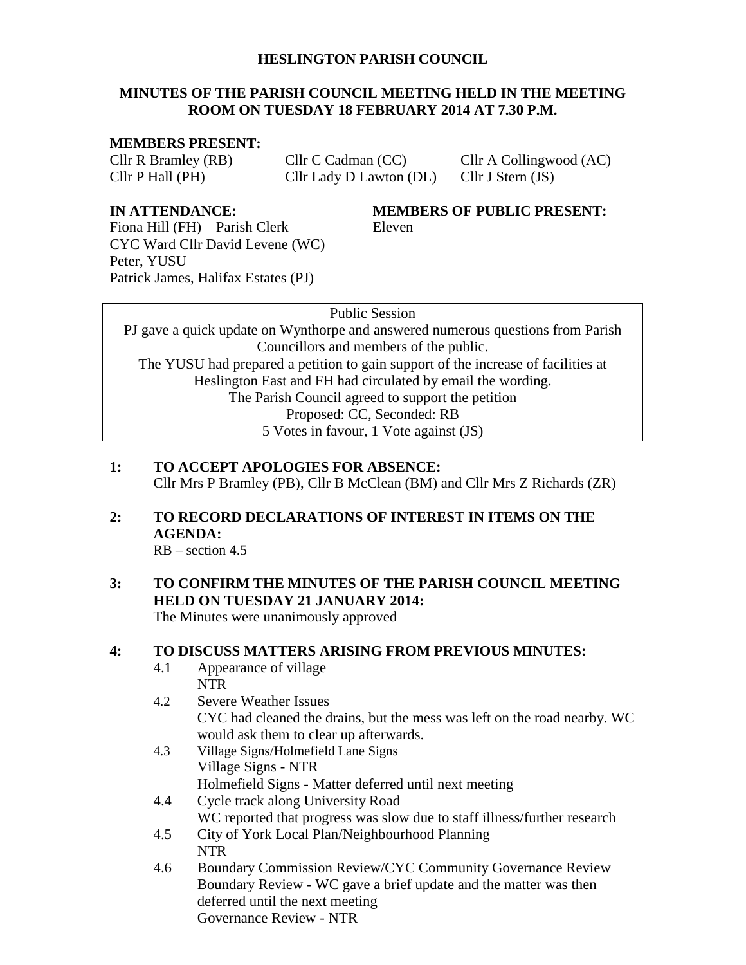#### **HESLINGTON PARISH COUNCIL**

#### **MINUTES OF THE PARISH COUNCIL MEETING HELD IN THE MEETING ROOM ON TUESDAY 18 FEBRUARY 2014 AT 7.30 P.M.**

#### **MEMBERS PRESENT:**

Cllr P Hall (PH) Cllr Lady D Lawton (DL) Cllr J Stern (JS)

Cllr R Bramley (RB) Cllr C Cadman (CC) Cllr A Collingwood (AC)

**IN ATTENDANCE: MEMBERS OF PUBLIC PRESENT:**

Fiona Hill (FH) – Parish Clerk Eleven CYC Ward Cllr David Levene (WC) Peter, YUSU Patrick James, Halifax Estates (PJ)

Public Session

PJ gave a quick update on Wynthorpe and answered numerous questions from Parish Councillors and members of the public. The YUSU had prepared a petition to gain support of the increase of facilities at Heslington East and FH had circulated by email the wording. The Parish Council agreed to support the petition Proposed: CC, Seconded: RB 5 Votes in favour, 1 Vote against (JS)

- **1: TO ACCEPT APOLOGIES FOR ABSENCE:** Cllr Mrs P Bramley (PB), Cllr B McClean (BM) and Cllr Mrs Z Richards (ZR)
- **2: TO RECORD DECLARATIONS OF INTEREST IN ITEMS ON THE AGENDA:**

 $RB - section 4.5$ 

**3: TO CONFIRM THE MINUTES OF THE PARISH COUNCIL MEETING HELD ON TUESDAY 21 JANUARY 2014:**

The Minutes were unanimously approved

#### **4: TO DISCUSS MATTERS ARISING FROM PREVIOUS MINUTES:**

- 4.1 Appearance of village NTR
- 4.2 Severe Weather Issues CYC had cleaned the drains, but the mess was left on the road nearby. WC would ask them to clear up afterwards.
- 4.3 Village Signs/Holmefield Lane Signs Village Signs - NTR Holmefield Signs - Matter deferred until next meeting
- 4.4 Cycle track along University Road
- WC reported that progress was slow due to staff illness/further research
- 4.5 City of York Local Plan/Neighbourhood Planning NTR
- 4.6 Boundary Commission Review/CYC Community Governance Review Boundary Review - WC gave a brief update and the matter was then deferred until the next meeting Governance Review - NTR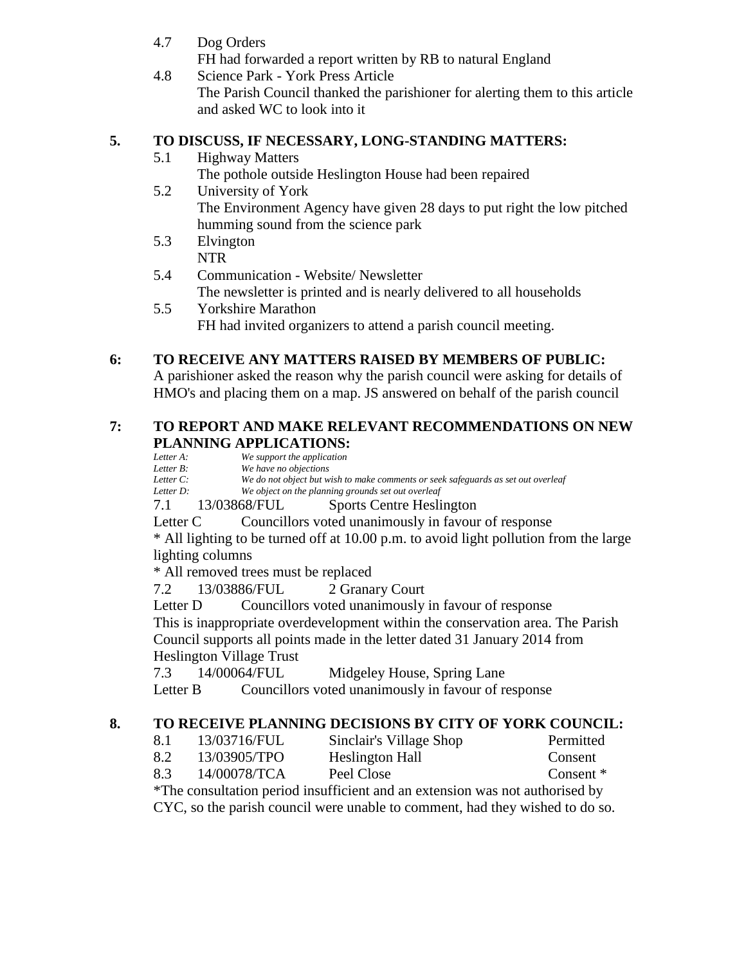4.7 Dog Orders

FH had forwarded a report written by RB to natural England

4.8 Science Park - York Press Article The Parish Council thanked the parishioner for alerting them to this article and asked WC to look into it

# **5. TO DISCUSS, IF NECESSARY, LONG-STANDING MATTERS:**

5.1 Highway Matters

The pothole outside Heslington House had been repaired

- 5.2 University of York The Environment Agency have given 28 days to put right the low pitched humming sound from the science park
- 5.3 Elvington NTR
- 5.4 Communication Website/ Newsletter The newsletter is printed and is nearly delivered to all households
- 5.5 Yorkshire Marathon FH had invited organizers to attend a parish council meeting.

# **6: TO RECEIVE ANY MATTERS RAISED BY MEMBERS OF PUBLIC:**

A parishioner asked the reason why the parish council were asking for details of HMO's and placing them on a map. JS answered on behalf of the parish council

#### **7: TO REPORT AND MAKE RELEVANT RECOMMENDATIONS ON NEW PLANNING APPLICATIONS:**

*Letter A: We support the application*<br>*Letter B: We have no objections* 

*Letter B: We have no objections* We do not object but wish to make comments or seek safeguards as set out overleaf *Letter D: We object on the planning grounds set out overleaf*

7.1 13/03868/FUL Sports Centre Heslington

Letter C Councillors voted unanimously in favour of response

\* All lighting to be turned off at 10.00 p.m. to avoid light pollution from the large lighting columns

\* All removed trees must be replaced

7.2 13/03886/FUL 2 Granary Court

Letter D Councillors voted unanimously in favour of response This is inappropriate overdevelopment within the conservation area. The Parish Council supports all points made in the letter dated 31 January 2014 from Heslington Village Trust

7.3 14/00064/FUL Midgeley House, Spring Lane

Letter B Councillors voted unanimously in favour of response

# **8. TO RECEIVE PLANNING DECISIONS BY CITY OF YORK COUNCIL:**

| 8.1 | 13/03716/FUL | Sinclair's Village Shop | Permitted |
|-----|--------------|-------------------------|-----------|
| 8.2 | 13/03905/TPO | Heslington Hall         | Consent   |
|     |              |                         |           |

8.3 14/00078/TCA Peel Close Consent \*

\*The consultation period insufficient and an extension was not authorised by CYC, so the parish council were unable to comment, had they wished to do so.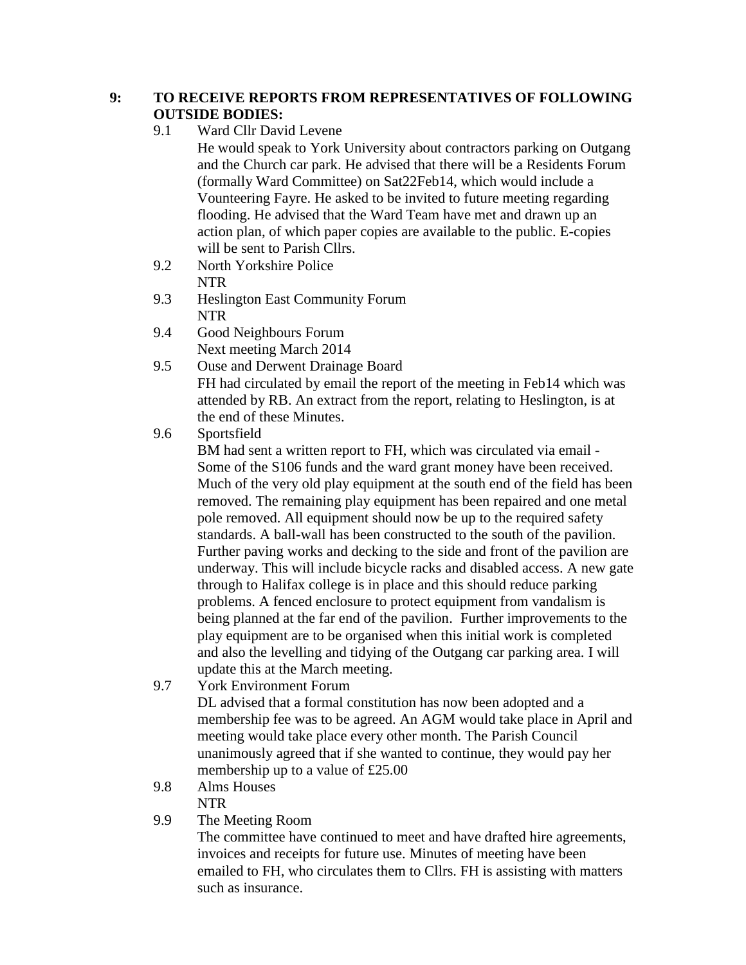# **9: TO RECEIVE REPORTS FROM REPRESENTATIVES OF FOLLOWING OUTSIDE BODIES:**

9.1 Ward Cllr David Levene

He would speak to York University about contractors parking on Outgang and the Church car park. He advised that there will be a Residents Forum (formally Ward Committee) on Sat22Feb14, which would include a Vounteering Fayre. He asked to be invited to future meeting regarding flooding. He advised that the Ward Team have met and drawn up an action plan, of which paper copies are available to the public. E-copies will be sent to Parish Cllrs.

- 9.2 North Yorkshire Police NTR
- 9.3 Heslington East Community Forum NTR
- 9.4 Good Neighbours Forum Next meeting March 2014
- 9.5 Ouse and Derwent Drainage Board FH had circulated by email the report of the meeting in Feb14 which was attended by RB. An extract from the report, relating to Heslington, is at the end of these Minutes.
- 9.6 Sportsfield

BM had sent a written report to FH, which was circulated via email - Some of the S106 funds and the ward grant money have been received. Much of the very old play equipment at the south end of the field has been removed. The remaining play equipment has been repaired and one metal pole removed. All equipment should now be up to the required safety standards. A ball-wall has been constructed to the south of the pavilion. Further paving works and decking to the side and front of the pavilion are underway. This will include bicycle racks and disabled access. A new gate through to Halifax college is in place and this should reduce parking problems. A fenced enclosure to protect equipment from vandalism is being planned at the far end of the pavilion. Further improvements to the play equipment are to be organised when this initial work is completed and also the levelling and tidying of the Outgang car parking area. I will update this at the March meeting.

9.7 York Environment Forum

DL advised that a formal constitution has now been adopted and a membership fee was to be agreed. An AGM would take place in April and meeting would take place every other month. The Parish Council unanimously agreed that if she wanted to continue, they would pay her membership up to a value of £25.00

- 9.8 Alms Houses NTR
- 9.9 The Meeting Room

The committee have continued to meet and have drafted hire agreements, invoices and receipts for future use. Minutes of meeting have been emailed to FH, who circulates them to Cllrs. FH is assisting with matters such as insurance.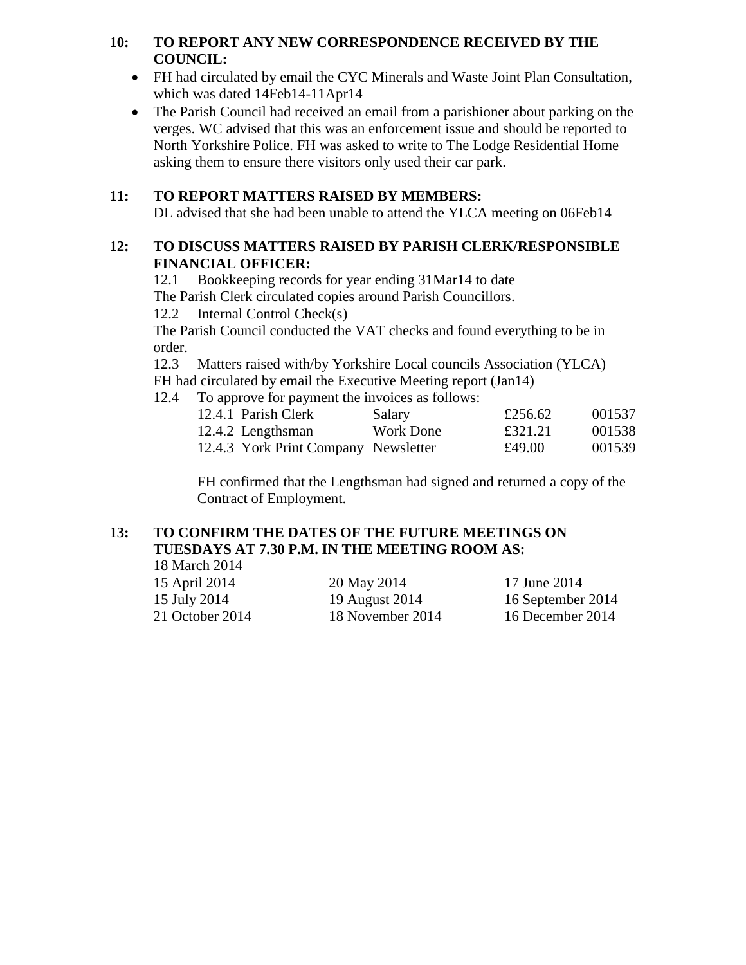# **10: TO REPORT ANY NEW CORRESPONDENCE RECEIVED BY THE COUNCIL:**

- FH had circulated by email the CYC Minerals and Waste Joint Plan Consultation, which was dated 14Feb14-11Apr14
- The Parish Council had received an email from a parishioner about parking on the verges. WC advised that this was an enforcement issue and should be reported to North Yorkshire Police. FH was asked to write to The Lodge Residential Home asking them to ensure there visitors only used their car park.

# **11: TO REPORT MATTERS RAISED BY MEMBERS:**

DL advised that she had been unable to attend the YLCA meeting on 06Feb14

# **12: TO DISCUSS MATTERS RAISED BY PARISH CLERK/RESPONSIBLE FINANCIAL OFFICER:**

12.1 Bookkeeping records for year ending 31Mar14 to date

The Parish Clerk circulated copies around Parish Councillors.

12.2 Internal Control Check(s)

The Parish Council conducted the VAT checks and found everything to be in order.

12.3 Matters raised with/by Yorkshire Local councils Association (YLCA)

FH had circulated by email the Executive Meeting report (Jan14)

12.4 To approve for payment the invoices as follows:

| 12.4.1 Parish Clerk | Salary                               | £256.62 | 001537 |
|---------------------|--------------------------------------|---------|--------|
| 12.4.2 Lengthsman   | Work Done                            | £321.21 | 001538 |
|                     | 12.4.3 York Print Company Newsletter | £49.00  | 001539 |

FH confirmed that the Lengthsman had signed and returned a copy of the Contract of Employment.

# **13: TO CONFIRM THE DATES OF THE FUTURE MEETINGS ON TUESDAYS AT 7.30 P.M. IN THE MEETING ROOM AS:**

18 March 2014 15 April 2014 20 May 2014 17 June 2014 15 July 2014 19 August 2014 16 September 2014

21 October 2014 18 November 2014 16 December 2014